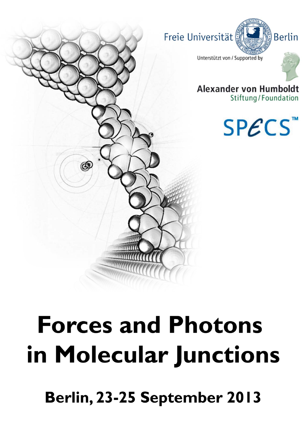

# **Forces and Photons** in Molecular Junctions

Berlin, 23-25 September 2013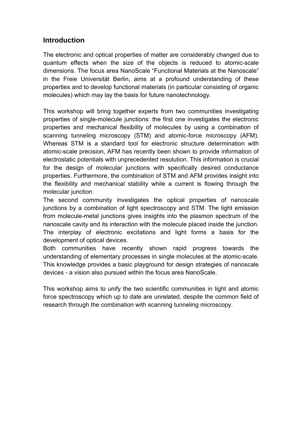# **Introduction**

The electronic and optical properties of matter are considerably changed due to quantum effects when the size of the objects is reduced to atomic-scale dimensions. The focus area NanoScale "Functional Materials at the Nanoscale" in the Freie Universität Berlin, aims at a profound understanding of these properties and to develop functional materials (in particular consisting of organic molecules) which may lay the basis for future nanotechnology.

This workshop will bring together experts from two communities investigating properties of single-molecule junctions: the first one investigates the electronic properties and mechanical flexibility of molecules by using a combination of scanning tunneling microscopy (STM) and atomic-force microscopy (AFM). Whereas STM is a standard tool for electronic structure determination with atomic-scale precision, AFM has recently been shown to provide information of electrostatic potentials with unprecedented resolution. This information is crucial for the design of molecular junctions with specifically desired conductance properties. Furthermore, the combination of STM and AFM provides insight into the flexibility and mechanical stability while a current is flowing through the molecular junction.

The second community investigates the optical properties of nanoscale junctions by a combination of light spectroscopy and STM. The light emission from molecule-metal junctions gives insights into the plasmon spectrum of the nanoscale cavity and its interaction with the molecule placed inside the junction. The interplay of electronic excitations and light forms a basis for the development of optical devices.

Both communities have recently shown rapid progress towards the understanding of elementary processes in single molecules at the atomic-scale. This knowledge provides a basic playground for design strategies of nanoscale devices - a vision also pursued within the focus area NanoScale.

This workshop aims to unify the two scientific communities in light and atomic force spectroscopy which up to date are unrelated, despite the common field of research through the combination with scanning tunneling microscopy.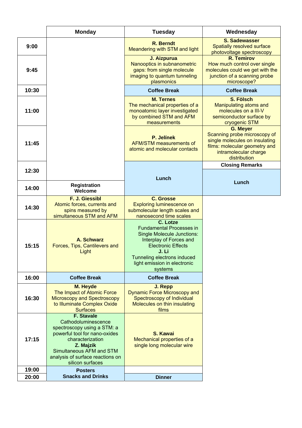|                | <b>Monday</b>                                                                                                                                                                                                                 | <b>Tuesday</b>                                                                                                                                                                                                              | Wednesday                                                                                                                                                   |
|----------------|-------------------------------------------------------------------------------------------------------------------------------------------------------------------------------------------------------------------------------|-----------------------------------------------------------------------------------------------------------------------------------------------------------------------------------------------------------------------------|-------------------------------------------------------------------------------------------------------------------------------------------------------------|
| 9:00           |                                                                                                                                                                                                                               | <b>R.</b> Berndt<br>Meandering with STM and light                                                                                                                                                                           | <b>S. Sadewasser</b><br>Spatially resolved surface<br>photovoltage spectroscopy                                                                             |
| 9:45           |                                                                                                                                                                                                                               | J. Aizpurua<br>Nanooptics in subnanometric<br>gaps: from single molecule<br>imaging to quantum tunneling<br>plasmonics                                                                                                      | <b>R. Temirov</b><br>How much control over single<br>molecules could we get with the<br>junction of a scanning probe<br>microscope?                         |
| 10:30          |                                                                                                                                                                                                                               | <b>Coffee Break</b>                                                                                                                                                                                                         | <b>Coffee Break</b>                                                                                                                                         |
| 11:00          |                                                                                                                                                                                                                               | <b>M. Ternes</b><br>The mechanical properties of a<br>monoatomic layer investigated<br>by combined STM and AFM<br>measurements                                                                                              | S. Fölsch<br>Manipulating atoms and<br>molecules on a III-V<br>semiconductor surface by<br>cryogenic STM                                                    |
| 11:45          |                                                                                                                                                                                                                               | P. Jelínek<br><b>AFM/STM measurements of</b><br>atomic and molecular contacts                                                                                                                                               | <b>G. Meyer</b><br>Scanning probe microscopy of<br>single molecules on insulating<br>films: molecular geometry and<br>intramolecular charge<br>distribution |
| 12:30          |                                                                                                                                                                                                                               |                                                                                                                                                                                                                             | <b>Closing Remarks</b>                                                                                                                                      |
|                |                                                                                                                                                                                                                               | Lunch                                                                                                                                                                                                                       | Lunch                                                                                                                                                       |
| 14:00          | <b>Registration</b><br>Welcome                                                                                                                                                                                                |                                                                                                                                                                                                                             |                                                                                                                                                             |
| 14:30          | F. J. Giessibl<br>Atomic forces, currents and<br>spins measured by<br>simultaneous STM and AFM                                                                                                                                | <b>C. Grosse</b><br><b>Exploring luminescence on</b><br>submolecular length scales and<br>nanosecond time scales                                                                                                            |                                                                                                                                                             |
| 15:15          | A. Schwarz<br>Forces, Tips, Cantilevers and<br>Light                                                                                                                                                                          | C. Lotze<br><b>Fundamental Processes in</b><br><b>Single Molecule Junctions:</b><br>Interplay of Forces and<br><b>Electronic Effects</b><br>J. Li<br>Tunneling electrons induced<br>light emission in electronic<br>systems |                                                                                                                                                             |
| 16:00          | <b>Coffee Break</b>                                                                                                                                                                                                           | <b>Coffee Break</b>                                                                                                                                                                                                         |                                                                                                                                                             |
| 16:30          | M. Heyde<br>The Impact of Atomic Force<br>Microscopy and Spectroscopy<br>to Illuminate Complex Oxide<br><b>Surfaces</b>                                                                                                       | J. Repp<br><b>Dynamic Force Microscopy and</b><br>Spectroscopy of Individual<br>Molecules on thin insulating<br>films                                                                                                       |                                                                                                                                                             |
| 17:15          | <b>F. Stavale</b><br>Cathodoluminescence<br>spectroscopy using a STM: a<br>powerful tool for nano-oxides<br>characterization<br>Z. Majzik<br>Simultaneous AFM and STM<br>analysis of surface reactions on<br>silicon surfaces | S. Kawai<br>Mechanical properties of a<br>single long molecular wire                                                                                                                                                        |                                                                                                                                                             |
| 19:00<br>20:00 | <b>Posters</b><br><b>Snacks and Drinks</b>                                                                                                                                                                                    | <b>Dinner</b>                                                                                                                                                                                                               |                                                                                                                                                             |
|                |                                                                                                                                                                                                                               |                                                                                                                                                                                                                             |                                                                                                                                                             |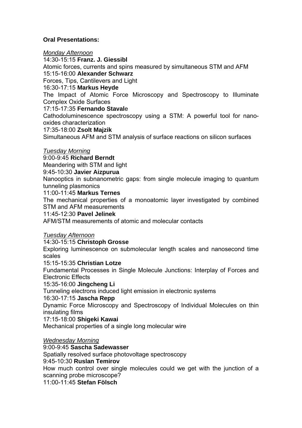# **Oral Presentations:**

*Monday Afternoon*  14:30-15:15 **Franz. J. Giessibl** Atomic forces, currents and spins measured by simultaneous STM and AFM 15:15-16:00 **Alexander Schwarz** Forces, Tips, Cantilevers and Light 16:30-17:15 **Markus Heyde** The Impact of Atomic Force Microscopy and Spectroscopy to Illuminate Complex Oxide Surfaces 17:15-17:35 **Fernando Staval**e Cathodoluminescence spectroscopy using a STM: A powerful tool for nanooxides characterization

#### 17:35-18:00 **Zsolt Majzik**

Simultaneous AFM and STM analysis of surface reactions on silicon surfaces

#### *Tuesday Morning*

9:00-9:45 **Richard Berndt**

Meandering with STM and light

9:45-10:30 **Javier Aizpurua**

Nanooptics in subnanometric gaps: from single molecule imaging to quantum tunneling plasmonics

#### 11:00-11:45 **Markus Ternes**

The mechanical properties of a monoatomic layer investigated by combined STM and AFM measurements

#### 11:45-12:30 **Pavel Jelinek**

AFM/STM measurements of atomic and molecular contacts

#### *Tuesday Afternoon*

#### 14:30-15:15 **Christoph Grosse**

Exploring luminescence on submolecular length scales and nanosecond time scales

#### 15:15-15:35 **Christian Lotze**

Fundamental Processes in Single Molecule Junctions: Interplay of Forces and Electronic Effects

#### 15:35-16:00 **Jingcheng Li**

Tunneling electrons induced light emission in electronic systems

# 16:30-17:15 **Jascha Repp**

Dynamic Force Microscopy and Spectroscopy of Individual Molecules on thin insulating films

#### 17:15-18:00 **Shigeki Kawai**

Mechanical properties of a single long molecular wire

#### *Wednesday Morning*

9:00-9:45 **Sascha Sadewasser**

Spatially resolved surface photovoltage spectroscopy

#### 9:45-10:30 **Ruslan Temirov**

How much control over single molecules could we get with the junction of a scanning probe microscope?

11:00-11:45 **Stefan Fölsch**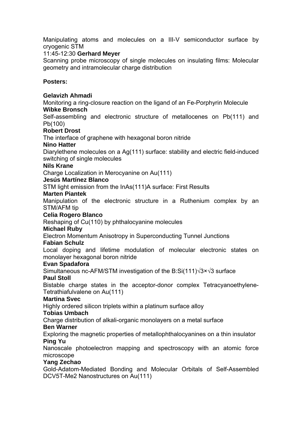Manipulating atoms and molecules on a III-V semiconductor surface by cryogenic STM

# 11:45-12:30 **Gerhard Meyer**

Scanning probe microscopy of single molecules on insulating films: Molecular geometry and intramolecular charge distribution

### **Posters:**

#### **Gelavizh Ahmadi**

Monitoring a ring-closure reaction on the ligand of an Fe-Porphyrin Molecule **Wibke Bronsch** 

Self-assembling and electronic structure of metallocenes on Pb(111) and Pb(100)

#### **Robert Drost**

The interface of graphene with hexagonal boron nitride

#### **Nino Hatter**

Diarylethene molecules on a Ag(111) surface: stability and electric field-induced switching of single molecules

#### **Nils Krane**

Charge Localization in Merocyanine on Au(111)

#### **Jesús Martínez Blanco**

STM light emission from the InAs(111)A surface: First Results

#### **Marten Piantek**

Manipulation of the electronic structure in a Ruthenium complex by an STM/AFM tip

#### **Celia Rogero Blanco**

Reshaping of Cu(110) by phthalocyanine molecules

#### **Michael Ruby**

Electron Momentum Anisotropy in Superconducting Tunnel Junctions

#### **Fabian Schulz**

Local doping and lifetime modulation of molecular electronic states on monolayer hexagonal boron nitride

#### **Evan Spadafora**

Simultaneous nc-AFM/STM investigation of the B:Si(111)√3×√3 surface

#### **Paul Stoll**

Bistable charge states in the acceptor-donor complex Tetracyanoethylene-Tetrathiafulvalene on Au(111)

#### **Martina Svec**

Highly ordered silicon triplets within a platinum surface alloy

#### **Tobias Umbach**

Charge distribution of alkali-organic monolayers on a metal surface

#### **Ben Warner**

Exploring the magnetic properties of metallophthalocyanines on a thin insulator **Ping Yu** 

Nanoscale photoelectron mapping and spectroscopy with an atomic force microscope

#### **Yang Zechao**

Gold-Adatom-Mediated Bonding and Molecular Orbitals of Self-Assembled DCV5T-Me2 Nanostructures on Au(111)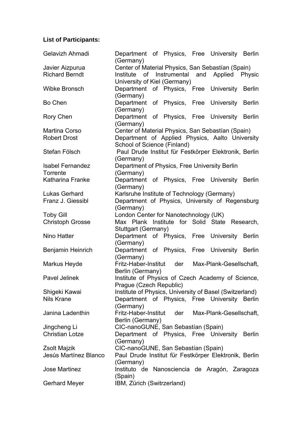# **List of Participants:**

| Center of Material Physics, San Sebastían (Spain)       |
|---------------------------------------------------------|
| Physic                                                  |
|                                                         |
| Department of Physics, Free University Berlin           |
|                                                         |
| of Physics, Free University Berlin                      |
|                                                         |
|                                                         |
| Department of Physics, Free University Berlin           |
|                                                         |
| Center of Material Physics, San Sebastían (Spain)       |
| Department of Applied Physics, Aalto University         |
|                                                         |
| Paul Drude Institut für Festkörper Elektronik, Berlin   |
|                                                         |
|                                                         |
|                                                         |
| Department of Physics, Free University Berlin           |
|                                                         |
|                                                         |
| Department of Physics, University of Regensburg         |
|                                                         |
|                                                         |
|                                                         |
| Max Plank Institute for Solid State Research,           |
|                                                         |
| Department of Physics, Free University Berlin           |
|                                                         |
| Department of Physics, Free University Berlin           |
|                                                         |
|                                                         |
| Max-Plank-Gesellschaft,                                 |
|                                                         |
|                                                         |
| Institute of Physics of Czech Academy of Science,       |
|                                                         |
| Institute of Physics, University of Basel (Switzerland) |
| Department of Physics, Free University Berlin           |
|                                                         |
| Max-Plank-Gesellschaft,                                 |
|                                                         |
|                                                         |
| Department of Physics, Free University Berlin           |
|                                                         |
| Paul Drude Institut für Festkörper Elektronik, Berlin   |
|                                                         |
| Instituto de Nanosciencia de Aragón, Zaragoza           |
|                                                         |
| Department of Physics, Free University Berlin           |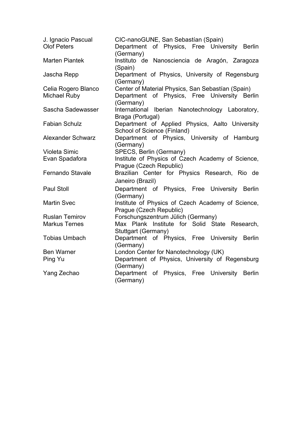| J. Ignacio Pascual<br><b>Olof Peters</b> | CIC-nanoGUNE, San Sebastían (Spain)<br>Department of Physics, Free University Berlin<br>(Germany) |
|------------------------------------------|---------------------------------------------------------------------------------------------------|
| <b>Marten Piantek</b>                    | Instituto de Nanosciencia de Aragón, Zaragoza<br>(Spain)                                          |
| Jascha Repp                              | Department of Physics, University of Regensburg<br>(Germany)                                      |
| Celia Rogero Blanco                      | Center of Material Physics, San Sebastían (Spain)                                                 |
| Michael Ruby                             | of Physics, Free University Berlin<br>Department<br>(Germany)                                     |
| Sascha Sadewasser                        | International Iberian Nanotechnology Laboratory,<br>Braga (Portugal)                              |
| <b>Fabian Schulz</b>                     | Department of Applied Physics, Aalto University<br>School of Science (Finland)                    |
| Alexander Schwarz                        | Department of Physics, University of Hamburg<br>(Germany)                                         |
| Violeta Simic                            | SPECS, Berlin (Germany)                                                                           |
| Evan Spadafora                           | Institute of Physics of Czech Academy of Science,<br>Prague (Czech Republic)                      |
| <b>Fernando Stavale</b>                  | Brazilian Center for Physics Research, Rio de                                                     |
|                                          | Janeiro (Brazil)                                                                                  |
| <b>Paul Stoll</b>                        | Department of Physics, Free University Berlin<br>(Germany)                                        |
| <b>Martin Svec</b>                       | Institute of Physics of Czech Academy of Science,<br>Prague (Czech Republic)                      |
| <b>Ruslan Temirov</b>                    | Forschungszentrum Jülich (Germany)                                                                |
| <b>Markus Ternes</b>                     | Max Plank Institute for Solid State Research,<br>Stuttgart (Germany)                              |
| <b>Tobias Umbach</b>                     | Department of Physics, Free University Berlin<br>(Germany)                                        |
| <b>Ben Warner</b>                        | London Center for Nanotechnology (UK)                                                             |
| Ping Yu                                  | Department of Physics, University of Regensburg<br>(Germany)                                      |
| Yang Zechao                              | Department<br>of Physics, Free University Berlin<br>(Germany)                                     |